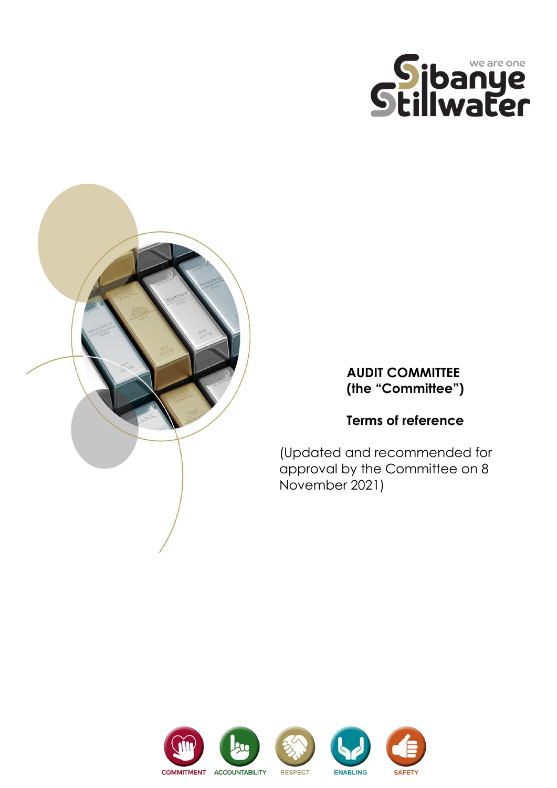



## **AUDIT COMMITTEE (the "Committee")**

# **Terms of reference**

(Updated and recommended for approval by the Committee on 8 November 2021)

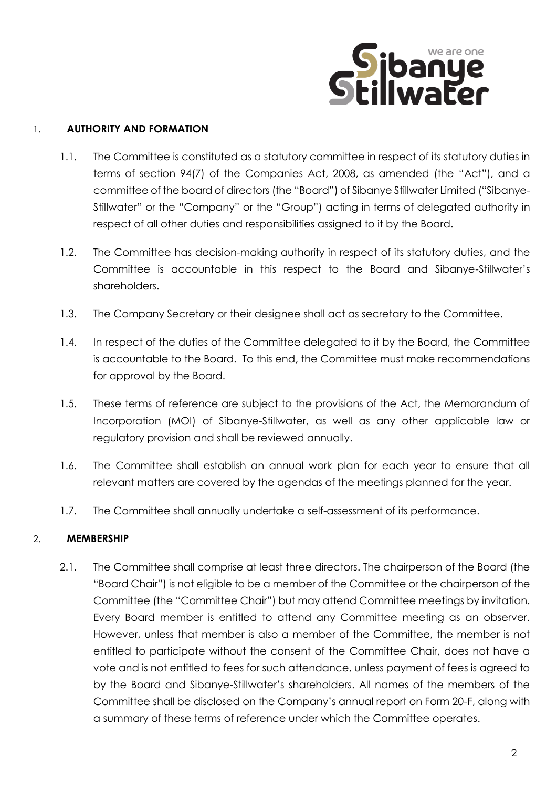

#### 1. **AUTHORITY AND FORMATION**

- 1.1. The Committee is constituted as a statutory committee in respect of its statutory duties in terms of section 94(7) of the Companies Act, 2008, as amended (the "Act"), and a committee of the board of directors (the "Board") of Sibanye Stillwater Limited ("Sibanye-Stillwater" or the "Company" or the "Group") acting in terms of delegated authority in respect of all other duties and responsibilities assigned to it by the Board.
- 1.2. The Committee has decision-making authority in respect of its statutory duties, and the Committee is accountable in this respect to the Board and Sibanye-Stillwater's shareholders.
- 1.3. The Company Secretary or their designee shall act as secretary to the Committee.
- 1.4. In respect of the duties of the Committee delegated to it by the Board, the Committee is accountable to the Board. To this end, the Committee must make recommendations for approval by the Board.
- 1.5. These terms of reference are subject to the provisions of the Act, the Memorandum of Incorporation (MOI) of Sibanye-Stillwater, as well as any other applicable law or regulatory provision and shall be reviewed annually.
- 1.6. The Committee shall establish an annual work plan for each year to ensure that all relevant matters are covered by the agendas of the meetings planned for the year.
- 1.7. The Committee shall annually undertake a self-assessment of its performance.

#### 2. **MEMBERSHIP**

2.1. The Committee shall comprise at least three directors. The chairperson of the Board (the "Board Chair") is not eligible to be a member of the Committee or the chairperson of the Committee (the "Committee Chair") but may attend Committee meetings by invitation. Every Board member is entitled to attend any Committee meeting as an observer. However, unless that member is also a member of the Committee, the member is not entitled to participate without the consent of the Committee Chair, does not have a vote and is not entitled to fees for such attendance, unless payment of fees is agreed to by the Board and Sibanye-Stillwater's shareholders. All names of the members of the Committee shall be disclosed on the Company's annual report on Form 20-F, along with a summary of these terms of reference under which the Committee operates.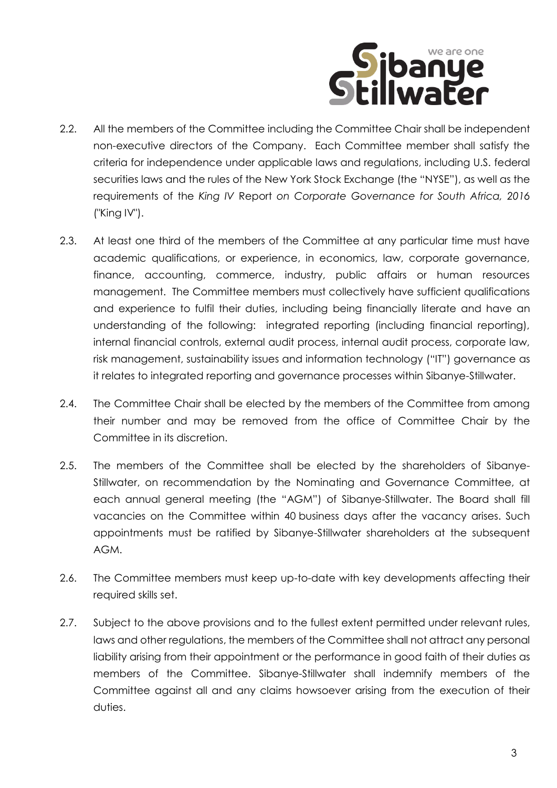

- 2.2. All the members of the Committee including the Committee Chair shall be independent non-executive directors of the Company. Each Committee member shall satisfy the criteria for independence under applicable laws and regulations, including U.S. federal securities laws and the rules of the New York Stock Exchange (the "NYSE"), as well as the requirements of the *King IV* Report *on Corporate Governance for South Africa, 2016*  ("King IV").
- 2.3. At least one third of the members of the Committee at any particular time must have academic qualifications, or experience, in economics, law, corporate governance, finance, accounting, commerce, industry, public affairs or human resources management. The Committee members must collectively have sufficient qualifications and experience to fulfil their duties, including being financially literate and have an understanding of the following: integrated reporting (including financial reporting), internal financial controls, external audit process, internal audit process, corporate law, risk management, sustainability issues and information technology ("IT") governance as it relates to integrated reporting and governance processes within Sibanye-Stillwater.
- 2.4. The Committee Chair shall be elected by the members of the Committee from among their number and may be removed from the office of Committee Chair by the Committee in its discretion.
- 2.5. The members of the Committee shall be elected by the shareholders of Sibanye-Stillwater, on recommendation by the Nominating and Governance Committee, at each annual general meeting (the "AGM") of Sibanye-Stillwater. The Board shall fill vacancies on the Committee within 40 business days after the vacancy arises. Such appointments must be ratified by Sibanye-Stillwater shareholders at the subsequent AGM.
- 2.6. The Committee members must keep up-to-date with key developments affecting their required skills set.
- 2.7. Subject to the above provisions and to the fullest extent permitted under relevant rules, laws and other regulations, the members of the Committee shall not attract any personal liability arising from their appointment or the performance in good faith of their duties as members of the Committee. Sibanye-Stillwater shall indemnify members of the Committee against all and any claims howsoever arising from the execution of their duties.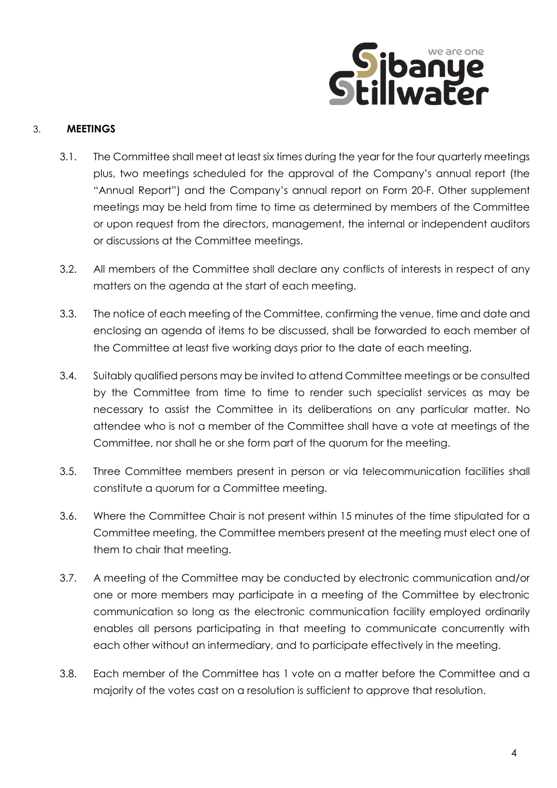

#### 3. **MEETINGS**

- 3.1. The Committee shall meet at least six times during the year for the four quarterly meetings plus, two meetings scheduled for the approval of the Company's annual report (the "Annual Report") and the Company's annual report on Form 20-F. Other supplement meetings may be held from time to time as determined by members of the Committee or upon request from the directors, management, the internal or independent auditors or discussions at the Committee meetings.
- 3.2. All members of the Committee shall declare any conflicts of interests in respect of any matters on the agenda at the start of each meeting.
- 3.3. The notice of each meeting of the Committee, confirming the venue, time and date and enclosing an agenda of items to be discussed, shall be forwarded to each member of the Committee at least five working days prior to the date of each meeting.
- 3.4. Suitably qualified persons may be invited to attend Committee meetings or be consulted by the Committee from time to time to render such specialist services as may be necessary to assist the Committee in its deliberations on any particular matter. No attendee who is not a member of the Committee shall have a vote at meetings of the Committee, nor shall he or she form part of the quorum for the meeting.
- 3.5. Three Committee members present in person or via telecommunication facilities shall constitute a quorum for a Committee meeting.
- 3.6. Where the Committee Chair is not present within 15 minutes of the time stipulated for a Committee meeting, the Committee members present at the meeting must elect one of them to chair that meeting.
- 3.7. A meeting of the Committee may be conducted by electronic communication and/or one or more members may participate in a meeting of the Committee by electronic communication so long as the electronic communication facility employed ordinarily enables all persons participating in that meeting to communicate concurrently with each other without an intermediary, and to participate effectively in the meeting.
- 3.8. Each member of the Committee has 1 vote on a matter before the Committee and a majority of the votes cast on a resolution is sufficient to approve that resolution.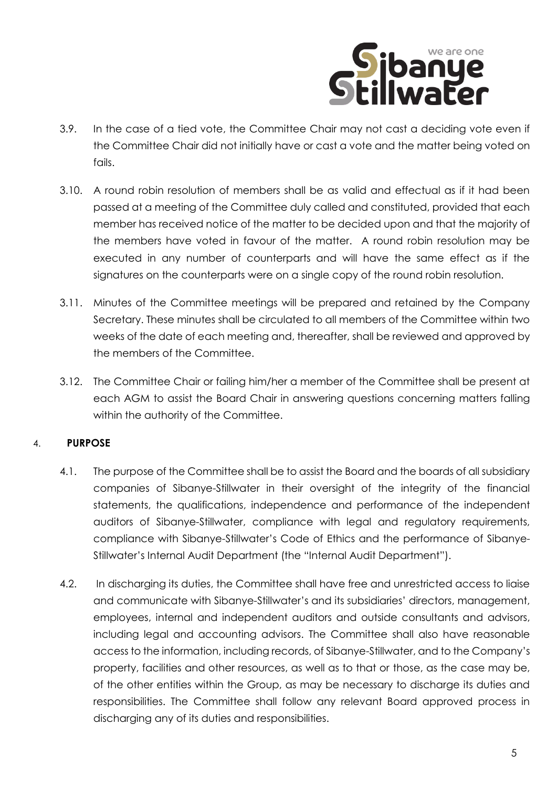

- 3.9. In the case of a tied vote, the Committee Chair may not cast a deciding vote even if the Committee Chair did not initially have or cast a vote and the matter being voted on fails.
- 3.10. A round robin resolution of members shall be as valid and effectual as if it had been passed at a meeting of the Committee duly called and constituted, provided that each member has received notice of the matter to be decided upon and that the majority of the members have voted in favour of the matter. A round robin resolution may be executed in any number of counterparts and will have the same effect as if the signatures on the counterparts were on a single copy of the round robin resolution.
- 3.11. Minutes of the Committee meetings will be prepared and retained by the Company Secretary. These minutes shall be circulated to all members of the Committee within two weeks of the date of each meeting and, thereafter, shall be reviewed and approved by the members of the Committee.
- 3.12. The Committee Chair or failing him/her a member of the Committee shall be present at each AGM to assist the Board Chair in answering questions concerning matters falling within the authority of the Committee.

#### 4. **PURPOSE**

- 4.1. The purpose of the Committee shall be to assist the Board and the boards of all subsidiary companies of Sibanye-Stillwater in their oversight of the integrity of the financial statements, the qualifications, independence and performance of the independent auditors of Sibanye-Stillwater, compliance with legal and regulatory requirements, compliance with Sibanye-Stillwater's Code of Ethics and the performance of Sibanye-Stillwater's Internal Audit Department (the "Internal Audit Department").
- 4.2. In discharging its duties, the Committee shall have free and unrestricted access to liaise and communicate with Sibanye-Stillwater's and its subsidiaries' directors, management, employees, internal and independent auditors and outside consultants and advisors, including legal and accounting advisors. The Committee shall also have reasonable access to the information, including records, of Sibanye-Stillwater, and to the Company's property, facilities and other resources, as well as to that or those, as the case may be, of the other entities within the Group, as may be necessary to discharge its duties and responsibilities. The Committee shall follow any relevant Board approved process in discharging any of its duties and responsibilities.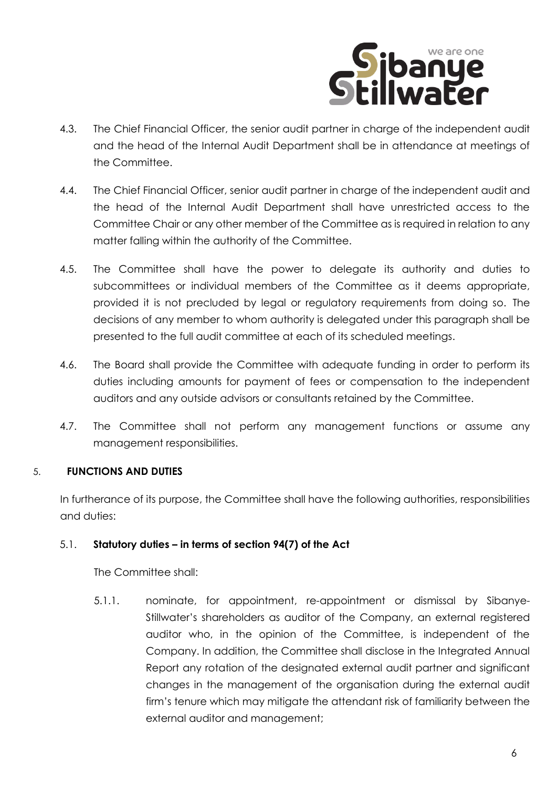

- 4.3. The Chief Financial Officer, the senior audit partner in charge of the independent audit and the head of the Internal Audit Department shall be in attendance at meetings of the Committee.
- 4.4. The Chief Financial Officer, senior audit partner in charge of the independent audit and the head of the Internal Audit Department shall have unrestricted access to the Committee Chair or any other member of the Committee as is required in relation to any matter falling within the authority of the Committee.
- 4.5. The Committee shall have the power to delegate its authority and duties to subcommittees or individual members of the Committee as it deems appropriate, provided it is not precluded by legal or regulatory requirements from doing so. The decisions of any member to whom authority is delegated under this paragraph shall be presented to the full audit committee at each of its scheduled meetings.
- 4.6. The Board shall provide the Committee with adequate funding in order to perform its duties including amounts for payment of fees or compensation to the independent auditors and any outside advisors or consultants retained by the Committee.
- 4.7. The Committee shall not perform any management functions or assume any management responsibilities.

#### 5. **FUNCTIONS AND DUTIES**

In furtherance of its purpose, the Committee shall have the following authorities, responsibilities and duties:

#### <span id="page-5-0"></span>5.1. **Statutory duties – in terms of section 94(7) of the Act**

The Committee shall:

5.1.1. nominate, for appointment, re-appointment or dismissal by Sibanye-Stillwater's shareholders as auditor of the Company, an external registered auditor who, in the opinion of the Committee, is independent of the Company. In addition, the Committee shall disclose in the Integrated Annual Report any rotation of the designated external audit partner and significant changes in the management of the organisation during the external audit firm's tenure which may mitigate the attendant risk of familiarity between the external auditor and management;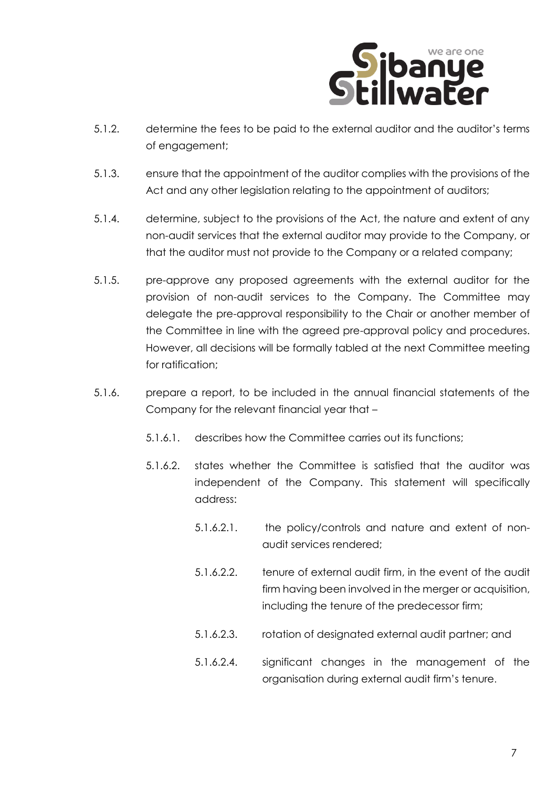

- <span id="page-6-0"></span>5.1.2. determine the fees to be paid to the external auditor and the auditor's terms of engagement;
- 5.1.3. ensure that the appointment of the auditor complies with the provisions of the Act and any other legislation relating to the appointment of auditors;
- 5.1.4. determine, subject to the provisions of the Act, the nature and extent of any non-audit services that the external auditor may provide to the Company, or that the auditor must not provide to the Company or a related company;
- 5.1.5. pre-approve any proposed agreements with the external auditor for the provision of non-audit services to the Company. The Committee may delegate the pre-approval responsibility to the Chair or another member of the Committee in line with the agreed pre-approval policy and procedures. However, all decisions will be formally tabled at the next Committee meeting for ratification;
- 5.1.6. prepare a report, to be included in the annual financial statements of the Company for the relevant financial year that –
	- 5.1.6.1. describes how the Committee carries out its functions;
	- 5.1.6.2. states whether the Committee is satisfied that the auditor was independent of the Company. This statement will specifically address:
		- 5.1.6.2.1. the policy/controls and nature and extent of nonaudit services rendered;
		- 5.1.6.2.2. tenure of external audit firm, in the event of the audit firm having been involved in the merger or acquisition, including the tenure of the predecessor firm;
		- 5.1.6.2.3. rotation of designated external audit partner; and
		- 5.1.6.2.4. significant changes in the management of the organisation during external audit firm's tenure.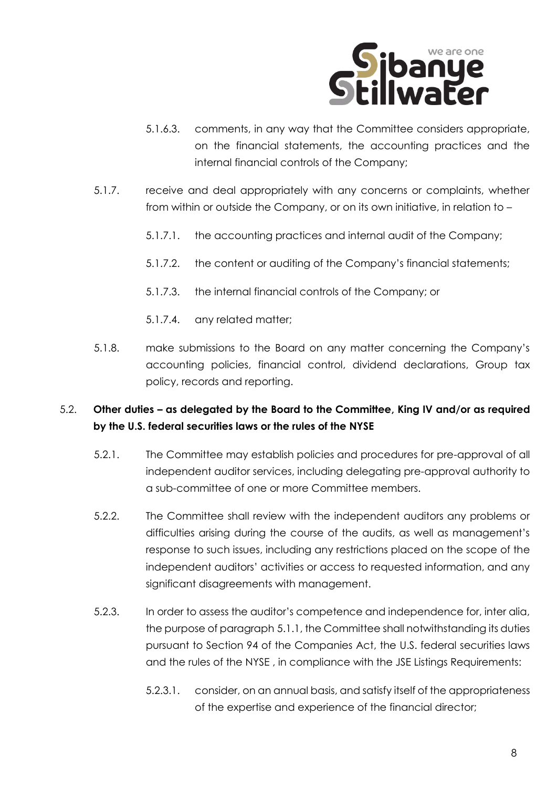

- 5.1.6.3. comments, in any way that the Committee considers appropriate, on the financial statements, the accounting practices and the internal financial controls of the Company;
- 5.1.7. receive and deal appropriately with any concerns or complaints, whether from within or outside the Company, or on its own initiative, in relation to –
	- 5.1.7.1. the accounting practices and internal audit of the Company;
	- 5.1.7.2. the content or auditing of the Company's financial statements;
	- 5.1.7.3. the internal financial controls of the Company; or
	- 5.1.7.4. any related matter;
- 5.1.8. make submissions to the Board on any matter concerning the Company's accounting policies, financial control, dividend declarations, Group tax policy, records and reporting.

### 5.2. **Other duties – as delegated by the Board to the Committee, King IV and/or as required by the U.S. federal securities laws or the rules of the NYSE**

- 5.2.1. The Committee may establish policies and procedures for pre-approval of all independent auditor services, including delegating pre-approval authority to a sub-committee of one or more Committee members.
- 5.2.2. The Committee shall review with the independent auditors any problems or difficulties arising during the course of the audits, as well as management's response to such issues, including any restrictions placed on the scope of the independent auditors' activities or access to requested information, and any significant disagreements with management.
- 5.2.3. In order to assess the auditor's competence and independence for, inter alia, the purpose of paragraph [5.1.1,](#page-5-0) the Committee shall notwithstanding its duties pursuant to Section 94 of the Companies Act, the U.S. federal securities laws and the rules of the NYSE , in compliance with the JSE Listings Requirements:
	- 5.2.3.1. consider, on an annual basis, and satisfy itself of the appropriateness of the expertise and experience of the financial director;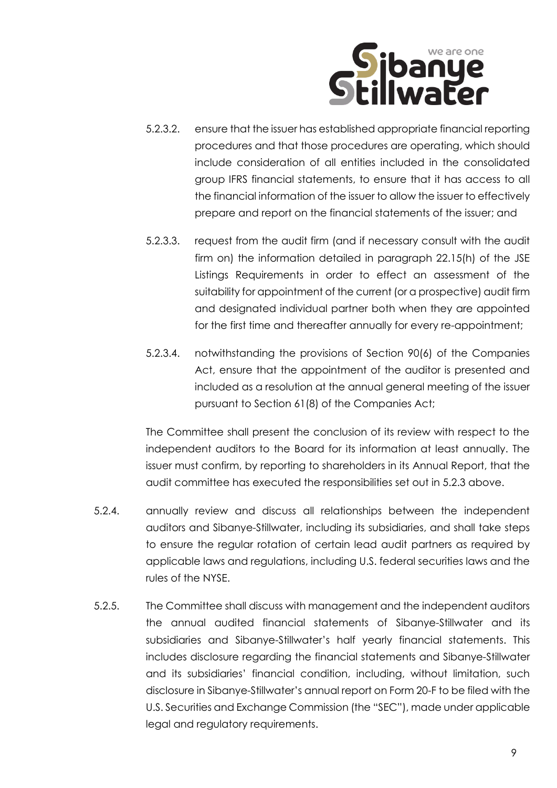

- 5.2.3.2. ensure that the issuer has established appropriate financial reporting procedures and that those procedures are operating, which should include consideration of all entities included in the consolidated group IFRS financial statements, to ensure that it has access to all the financial information of the issuer to allow the issuer to effectively prepare and report on the financial statements of the issuer; and
- 5.2.3.3. request from the audit firm (and if necessary consult with the audit firm on) the information detailed in paragraph 22.15(h) of the JSE Listings Requirements in order to effect an assessment of the suitability for appointment of the current (or a prospective) audit firm and designated individual partner both when they are appointed for the first time and thereafter annually for every re-appointment;
- 5.2.3.4. notwithstanding the provisions of Section 90(6) of the Companies Act, ensure that the appointment of the auditor is presented and included as a resolution at the annual general meeting of the issuer pursuant to Section 61(8) of the Companies Act;

The Committee shall present the conclusion of its review with respect to the independent auditors to the Board for its information at least annually. The issuer must confirm, by reporting to shareholders in its Annual Report, that the audit committee has executed the responsibilities set out in 5.2.3 above.

- 5.2.4. annually review and discuss all relationships between the independent auditors and Sibanye-Stillwater, including its subsidiaries, and shall take steps to ensure the regular rotation of certain lead audit partners as required by applicable laws and regulations, including U.S. federal securities laws and the rules of the NYSE.
- 5.2.5. The Committee shall discuss with management and the independent auditors the annual audited financial statements of Sibanye-Stillwater and its subsidiaries and Sibanye-Stillwater's half yearly financial statements. This includes disclosure regarding the financial statements and Sibanye-Stillwater and its subsidiaries' financial condition, including, without limitation, such disclosure in Sibanye-Stillwater's annual report on Form 20-F to be filed with the U.S. Securities and Exchange Commission (the "SEC"), made under applicable legal and regulatory requirements.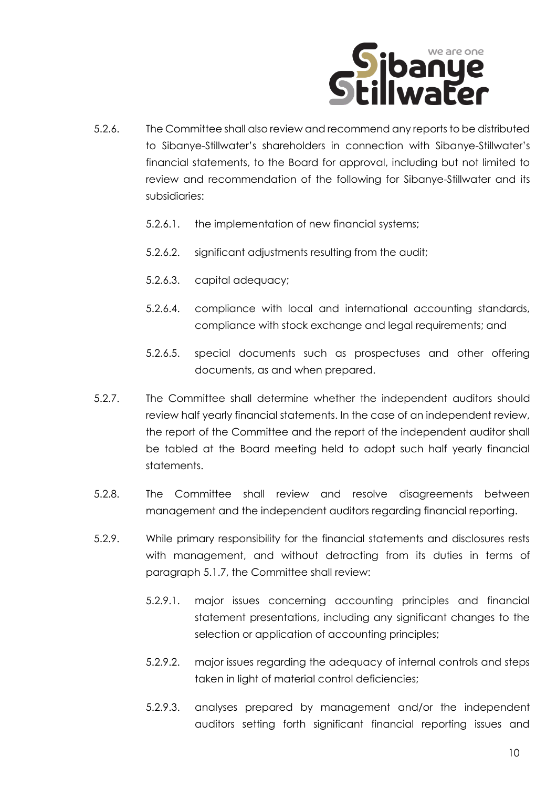

- 5.2.6. The Committee shall also review and recommend any reports to be distributed to Sibanye-Stillwater's shareholders in connection with Sibanye-Stillwater's financial statements, to the Board for approval, including but not limited to review and recommendation of the following for Sibanye-Stillwater and its subsidiaries:
	- 5.2.6.1. the implementation of new financial systems;
	- 5.2.6.2. significant adjustments resulting from the audit;
	- 5.2.6.3. capital adequacy;
	- 5.2.6.4. compliance with local and international accounting standards, compliance with stock exchange and legal requirements; and
	- 5.2.6.5. special documents such as prospectuses and other offering documents, as and when prepared.
- 5.2.7. The Committee shall determine whether the independent auditors should review half yearly financial statements. In the case of an independent review, the report of the Committee and the report of the independent auditor shall be tabled at the Board meeting held to adopt such half yearly financial statements.
- 5.2.8. The Committee shall review and resolve disagreements between management and the independent auditors regarding financial reporting.
- 5.2.9. While primary responsibility for the financial statements and disclosures rests with management, and without detracting from its duties in terms of paragraph [5.1.7,](#page-6-0) the Committee shall review:
	- 5.2.9.1. major issues concerning accounting principles and financial statement presentations, including any significant changes to the selection or application of accounting principles;
	- 5.2.9.2. major issues regarding the adequacy of internal controls and steps taken in light of material control deficiencies;
	- 5.2.9.3. analyses prepared by management and/or the independent auditors setting forth significant financial reporting issues and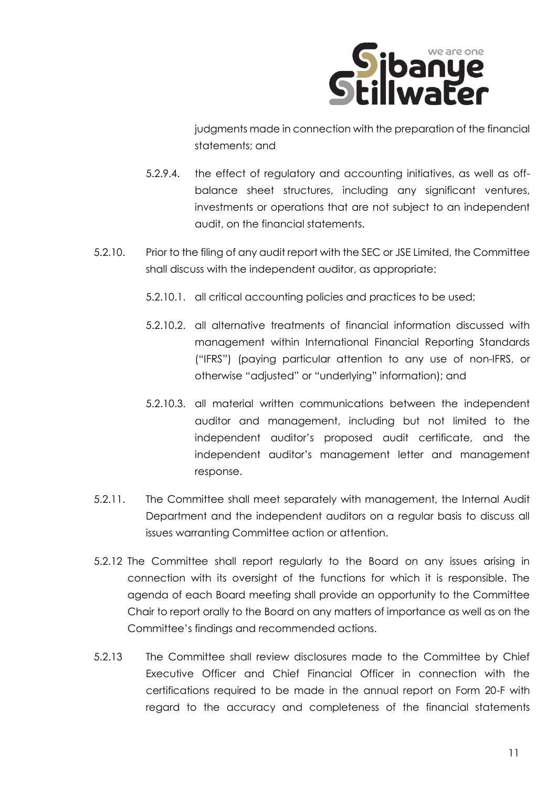

judgments made in connection with the preparation of the financial statements; and

- 5.2.9.4. the effect of regulatory and accounting initiatives, as well as offbalance sheet structures, including any significant ventures, investments or operations that are not subject to an independent audit, on the financial statements.
- 5.2.10. Prior to the filing of any audit report with the SEC or JSE Limited, the Committee shall discuss with the independent auditor, as appropriate:
	- 5.2.10.1. all critical accounting policies and practices to be used;
	- 5.2.10.2. all alternative treatments of financial information discussed with management within International Financial Reporting Standards ("IFRS") (paying particular attention to any use of non-IFRS, or otherwise "adjusted" or "underlying" information); and
	- 5.2.10.3. all material written communications between the independent auditor and management, including but not limited to the independent auditor's proposed audit certificate, and the independent auditor's management letter and management response.
- 5.2.11. The Committee shall meet separately with management, the Internal Audit Department and the independent auditors on a regular basis to discuss all issues warranting Committee action or attention.
- 5.2.12 The Committee shall report regularly to the Board on any issues arising in connection with its oversight of the functions for which it is responsible. The agenda of each Board meeting shall provide an opportunity to the Committee Chair to report orally to the Board on any matters of importance as well as on the Committee's findings and recommended actions.
- 5.2.13 The Committee shall review disclosures made to the Committee by Chief Executive Officer and Chief Financial Officer in connection with the certifications required to be made in the annual report on Form 20-F with regard to the accuracy and completeness of the financial statements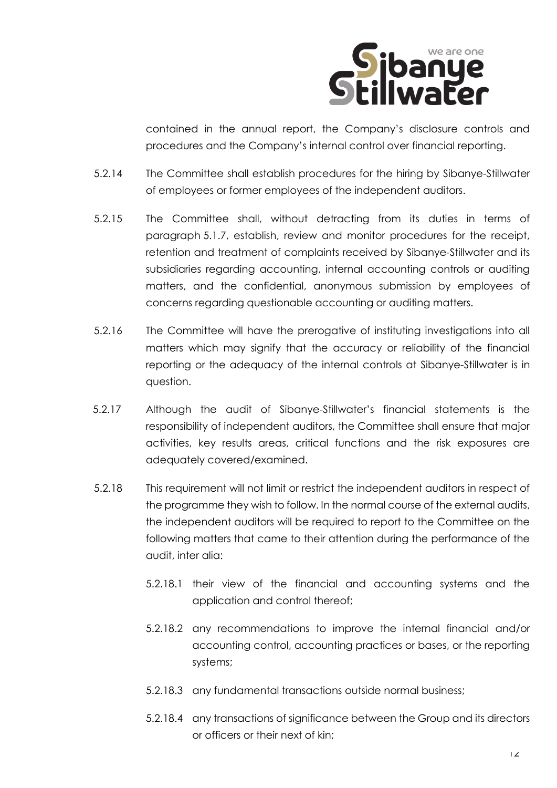

contained in the annual report, the Company's disclosure controls and procedures and the Company's internal control over financial reporting.

- 5.2.14 The Committee shall establish procedures for the hiring by Sibanye-Stillwater of employees or former employees of the independent auditors.
- 5.2.15 The Committee shall, without detracting from its duties in terms of paragraph [5.1.7,](#page-6-0) establish, review and monitor procedures for the receipt, retention and treatment of complaints received by Sibanye-Stillwater and its subsidiaries regarding accounting, internal accounting controls or auditing matters, and the confidential, anonymous submission by employees of concerns regarding questionable accounting or auditing matters.
- 5.2.16 The Committee will have the prerogative of instituting investigations into all matters which may signify that the accuracy or reliability of the financial reporting or the adequacy of the internal controls at Sibanye-Stillwater is in question.
- 5.2.17 Although the audit of Sibanye-Stillwater's financial statements is the responsibility of independent auditors, the Committee shall ensure that major activities, key results areas, critical functions and the risk exposures are adequately covered/examined.
- 5.2.18 This requirement will not limit or restrict the independent auditors in respect of the programme they wish to follow. In the normal course of the external audits, the independent auditors will be required to report to the Committee on the following matters that came to their attention during the performance of the audit, inter alia:
	- 5.2.18.1 their view of the financial and accounting systems and the application and control thereof;
	- 5.2.18.2 any recommendations to improve the internal financial and/or accounting control, accounting practices or bases, or the reporting systems;
	- 5.2.18.3 any fundamental transactions outside normal business;
	- 5.2.18.4 any transactions of significance between the Group and its directors or officers or their next of kin;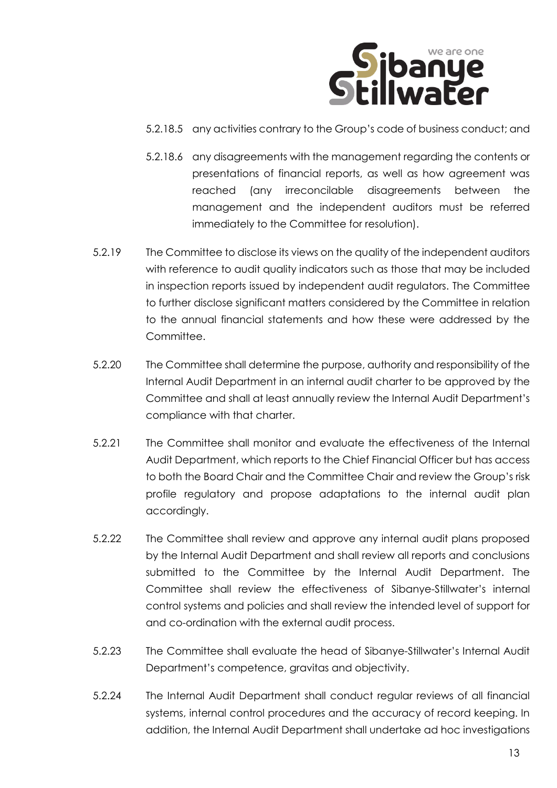

- 5.2.18.5 any activities contrary to the Group's code of business conduct; and
- 5.2.18.6 any disagreements with the management regarding the contents or presentations of financial reports, as well as how agreement was reached (any irreconcilable disagreements between the management and the independent auditors must be referred immediately to the Committee for resolution).
- 5.2.19 The Committee to disclose its views on the quality of the independent auditors with reference to audit quality indicators such as those that may be included in inspection reports issued by independent audit regulators. The Committee to further disclose significant matters considered by the Committee in relation to the annual financial statements and how these were addressed by the Committee.
- 5.2.20 The Committee shall determine the purpose, authority and responsibility of the Internal Audit Department in an internal audit charter to be approved by the Committee and shall at least annually review the Internal Audit Department's compliance with that charter.
- 5.2.21 The Committee shall monitor and evaluate the effectiveness of the Internal Audit Department, which reports to the Chief Financial Officer but has access to both the Board Chair and the Committee Chair and review the Group's risk profile regulatory and propose adaptations to the internal audit plan accordingly.
- 5.2.22 The Committee shall review and approve any internal audit plans proposed by the Internal Audit Department and shall review all reports and conclusions submitted to the Committee by the Internal Audit Department. The Committee shall review the effectiveness of Sibanye-Stillwater's internal control systems and policies and shall review the intended level of support for and co-ordination with the external audit process.
- 5.2.23 The Committee shall evaluate the head of Sibanye-Stillwater's Internal Audit Department's competence, gravitas and objectivity.
- 5.2.24 The Internal Audit Department shall conduct regular reviews of all financial systems, internal control procedures and the accuracy of record keeping. In addition, the Internal Audit Department shall undertake ad hoc investigations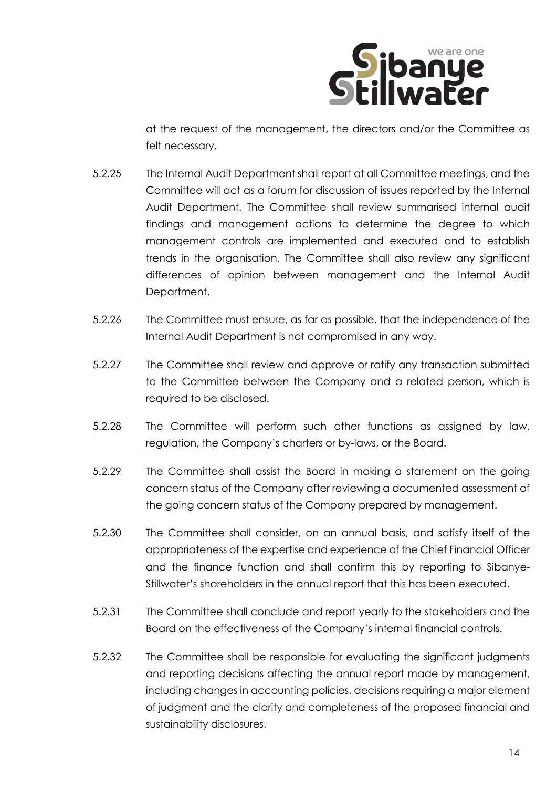

at the request of the management, the directors and/or the Committee as felt necessary.

- 5.2.25 The Internal Audit Department shall report at all Committee meetings, and the Committee will act as a forum for discussion of issues reported by the Internal Audit Department. The Committee shall review summarised internal audit findings and management actions to determine the degree to which management controls are implemented and executed and to establish trends in the organisation. The Committee shall also review any significant differences of opinion between management and the Internal Audit Department.
- 5.2.26 The Committee must ensure, as far as possible, that the independence of the Internal Audit Department is not compromised in any way.
- 5.2.27 The Committee shall review and approve or ratify any transaction submitted to the Committee between the Company and a related person, which is required to be disclosed.
- 5.2.28 The Committee will perform such other functions as assigned by law, regulation, the Company's charters or by-laws, or the Board.
- 5.2.29 The Committee shall assist the Board in making a statement on the going concern status of the Company after reviewing a documented assessment of the going concern status of the Company prepared by management.
- 5.2.30 The Committee shall consider, on an annual basis, and satisfy itself of the appropriateness of the expertise and experience of the Chief Financial Officer and the finance function and shall confirm this by reporting to Sibanye-Stillwater's shareholders in the annual report that this has been executed.
- 5.2.31 The Committee shall conclude and report yearly to the stakeholders and the Board on the effectiveness of the Company's internal financial controls.
- 5.2.32 The Committee shall be responsible for evaluating the significant judgments and reporting decisions affecting the annual report made by management, including changes in accounting policies, decisions requiring a major element of judgment and the clarity and completeness of the proposed financial and sustainability disclosures.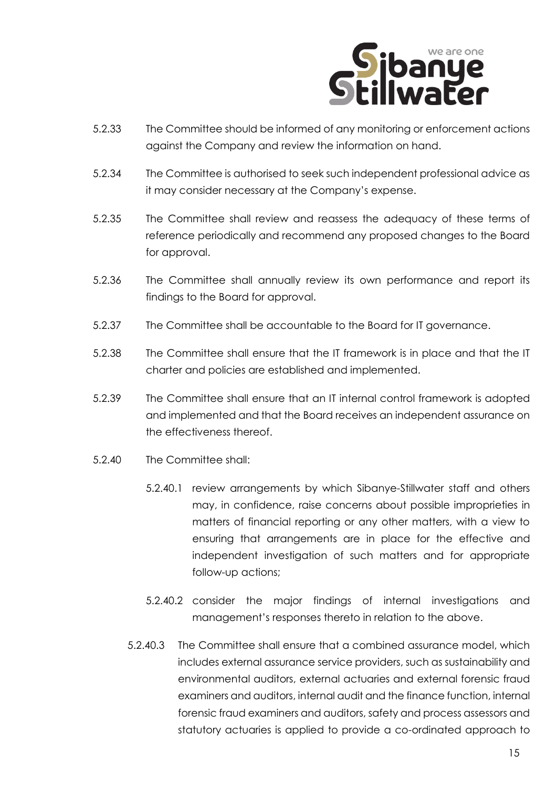

- 5.2.33 The Committee should be informed of any monitoring or enforcement actions against the Company and review the information on hand.
- 5.2.34 The Committee is authorised to seek such independent professional advice as it may consider necessary at the Company's expense.
- 5.2.35 The Committee shall review and reassess the adequacy of these terms of reference periodically and recommend any proposed changes to the Board for approval.
- 5.2.36 The Committee shall annually review its own performance and report its findings to the Board for approval.
- 5.2.37 The Committee shall be accountable to the Board for IT governance.
- 5.2.38 The Committee shall ensure that the IT framework is in place and that the IT charter and policies are established and implemented.
- 5.2.39 The Committee shall ensure that an IT internal control framework is adopted and implemented and that the Board receives an independent assurance on the effectiveness thereof.
- 5.2.40 The Committee shall:
	- 5.2.40.1 review arrangements by which Sibanye-Stillwater staff and others may, in confidence, raise concerns about possible improprieties in matters of financial reporting or any other matters, with a view to ensuring that arrangements are in place for the effective and independent investigation of such matters and for appropriate follow-up actions;
	- 5.2.40.2 consider the major findings of internal investigations and management's responses thereto in relation to the above.
	- 5.2.40.3 The Committee shall ensure that a combined assurance model, which includes external assurance service providers, such as sustainability and environmental auditors, external actuaries and external forensic fraud examiners and auditors, internal audit and the finance function, internal forensic fraud examiners and auditors, safety and process assessors and statutory actuaries is applied to provide a co-ordinated approach to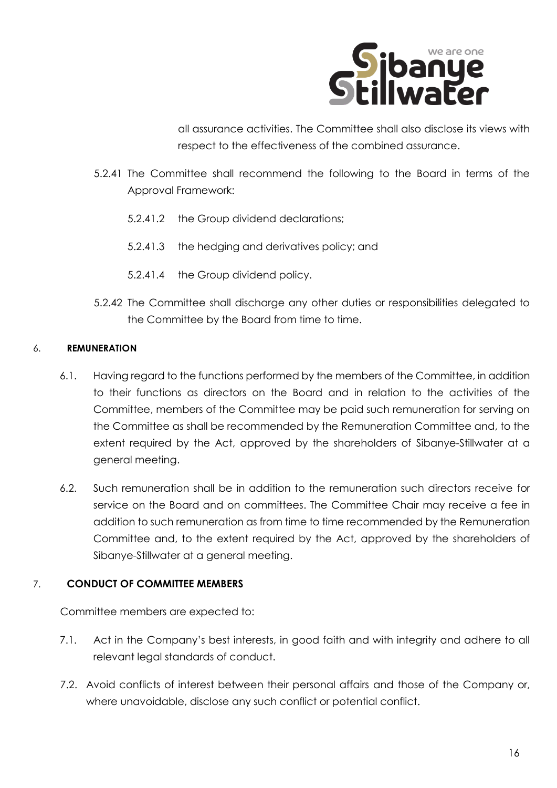

all assurance activities. The Committee shall also disclose its views with respect to the effectiveness of the combined assurance.

- 5.2.41 The Committee shall recommend the following to the Board in terms of the Approval Framework:
	- 5.2.41.2 the Group dividend declarations;
	- 5.2.41.3 the hedging and derivatives policy; and
	- 5.2.41.4 the Group dividend policy.
- 5.2.42 The Committee shall discharge any other duties or responsibilities delegated to the Committee by the Board from time to time.

#### 6. **REMUNERATION**

- 6.1. Having regard to the functions performed by the members of the Committee, in addition to their functions as directors on the Board and in relation to the activities of the Committee, members of the Committee may be paid such remuneration for serving on the Committee as shall be recommended by the Remuneration Committee and, to the extent required by the Act, approved by the shareholders of Sibanye-Stillwater at a general meeting.
- 6.2. Such remuneration shall be in addition to the remuneration such directors receive for service on the Board and on committees. The Committee Chair may receive a fee in addition to such remuneration as from time to time recommended by the Remuneration Committee and, to the extent required by the Act, approved by the shareholders of Sibanye-Stillwater at a general meeting.

#### 7. **CONDUCT OF COMMITTEE MEMBERS**

Committee members are expected to:

- 7.1. Act in the Company's best interests, in good faith and with integrity and adhere to all relevant legal standards of conduct.
- 7.2. Avoid conflicts of interest between their personal affairs and those of the Company or, where unavoidable, disclose any such conflict or potential conflict.